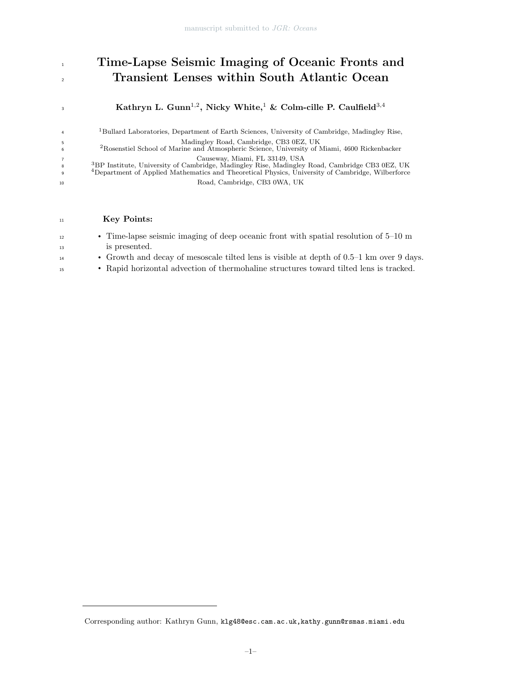# 1 Time-Lapse Seismic Imaging of Oceanic Fronts and <sup>2</sup> Transient Lenses within South Atlantic Ocean

Kathryn L. Gunn $^{1,2},$  Nicky White, $^1$  & Colm-cille P. Caulfield $^{3,4}$ 

<sup>1</sup>Bullard Laboratories, Department of Earth Sciences, University of Cambridge, Madingley Rise, <sup>5</sup> Madingley Road, Cambridge, CB3 0EZ, UK <sup>2</sup>Rosenstiel School of Marine and Atmospheric Science, University of Miami, 4600 Rickenbacker

<sup>7</sup> Causeway, Miami, FL 33149, USA<br><sup>3</sup> <sup>3</sup> 3 <sup>3</sup> 3 3 122, UK<br><sup>4</sup> Department of Applied Mathematics and Theoretical Physics, University of Cambridge, Wilberforce <sup>10</sup> Road, Cambridge, CB3 0WA, UK

# <sup>11</sup> Key Points:

3

4

6

8 9

| 12 | • Time-lapse seismic imaging of deep oceanic front with spatial resolution of $5-10$ m   |
|----|------------------------------------------------------------------------------------------|
| 13 | is presented.                                                                            |
| 14 | • Growth and decay of mesoscale tilted lens is visible at depth of 0.5–1 km over 9 days. |
| 15 | • Rapid horizontal advection of thermohaline structures toward tilted lens is tracked.   |

Corresponding author: Kathryn Gunn, klg48@esc.cam.ac.uk,kathy.gunn@rsmas.miami.edu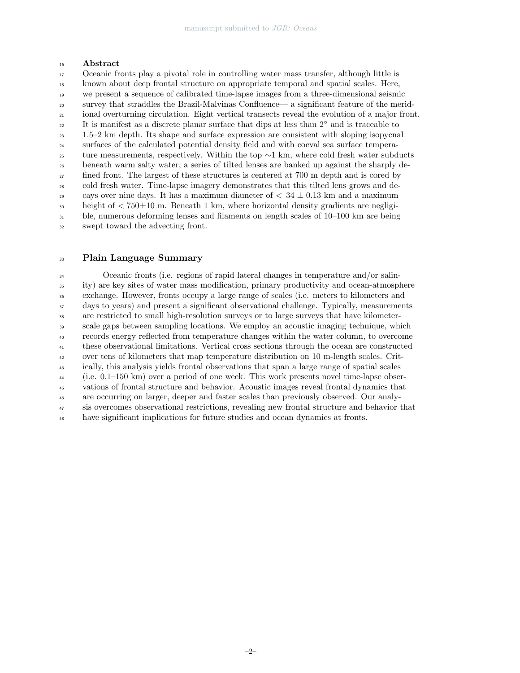#### Abstract

 Oceanic fronts play a pivotal role in controlling water mass transfer, although little is known about deep frontal structure on appropriate temporal and spatial scales. Here, we present a sequence of calibrated time-lapse images from a three-dimensional seismic survey that straddles the Brazil-Malvinas Confluence— a significant feature of the merid- ional overturning circulation. Eight vertical transects reveal the evolution of a major front. 22 It is manifest as a discrete planar surface that dips at less than 2<sup>°</sup> and is traceable to 1.5–2 km depth. Its shape and surface expression are consistent with sloping isopycnal surfaces of the calculated potential density field and with coeval sea surface temperature measurements, respectively. Within the top  $\sim$ 1 km, where cold fresh water subducts beneath warm salty water, a series of tilted lenses are banked up against the sharply de-<sup>27</sup> fined front. The largest of these structures is centered at 700 m depth and is cored by cold fresh water. Time-lapse imagery demonstrates that this tilted lens grows and de-<sup>29</sup> cays over nine days. It has a maximum diameter of  $< 34 \pm 0.13$  km and a maximum  $\frac{30}{10}$  height of  $\lt 750 \pm 10$  m. Beneath 1 km, where horizontal density gradients are negligi- ble, numerous deforming lenses and filaments on length scales of 10–100 km are being swept toward the advecting front.

#### Plain Language Summary

 Oceanic fronts (i.e. regions of rapid lateral changes in temperature and/or salin- ity) are key sites of water mass modification, primary productivity and ocean-atmosphere exchange. However, fronts occupy a large range of scales (i.e. meters to kilometers and days to years) and present a significant observational challenge. Typically, measurements are restricted to small high-resolution surveys or to large surveys that have kilometer- scale gaps between sampling locations. We employ an acoustic imaging technique, which records energy reflected from temperature changes within the water column, to overcome these observational limitations. Vertical cross sections through the ocean are constructed over tens of kilometers that map temperature distribution on 10 m-length scales. Crit- ically, this analysis yields frontal observations that span a large range of spatial scales (i.e. 0.1–150 km) over a period of one week. This work presents novel time-lapse obser- vations of frontal structure and behavior. Acoustic images reveal frontal dynamics that are occurring on larger, deeper and faster scales than previously observed. Our analy- sis overcomes observational restrictions, revealing new frontal structure and behavior that have significant implications for future studies and ocean dynamics at fronts.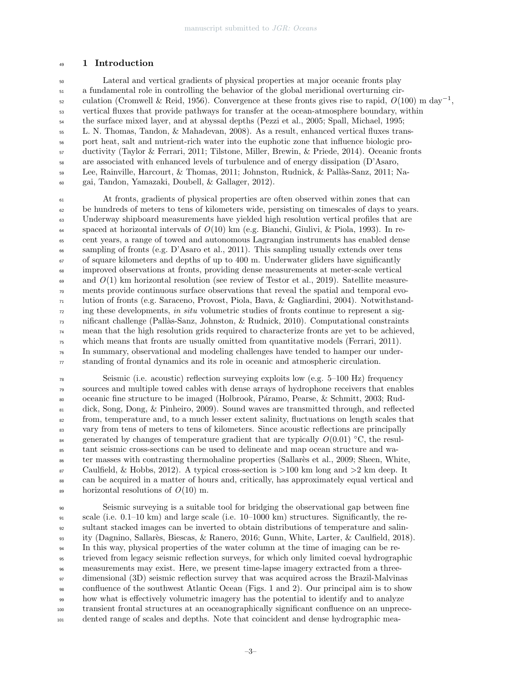# 1 Introduction

 Lateral and vertical gradients of physical properties at major oceanic fronts play a fundamental role in controlling the behavior of the global meridional overturning circulation (Cromwell & Reid, 1956). Convergence at these fronts gives rise to rapid,  $O(100)$  m day<sup>-1</sup>, vertical fluxes that provide pathways for transfer at the ocean-atmosphere boundary, within the surface mixed layer, and at abyssal depths (Pezzi et al., 2005; Spall, Michael, 1995; L. N. Thomas, Tandon, & Mahadevan, 2008). As a result, enhanced vertical fluxes trans- port heat, salt and nutrient-rich water into the euphotic zone that influence biologic pro- ductivity (Taylor & Ferrari, 2011; Tilstone, Miller, Brewin, & Priede, 2014). Oceanic fronts are associated with enhanced levels of turbulence and of energy dissipation (D'Asaro, 59 Lee, Rainville, Harcourt, & Thomas, 2011; Johnston, Rudnick, & Pallàs-Sanz, 2011; Na-gai, Tandon, Yamazaki, Doubell, & Gallager, 2012).

 At fronts, gradients of physical properties are often observed within zones that can be hundreds of meters to tens of kilometers wide, persisting on timescales of days to years. Underway shipboard measurements have yielded high resolution vertical profiles that are  $\epsilon_{64}$  spaced at horizontal intervals of  $O(10)$  km (e.g. Bianchi, Giulivi, & Piola, 1993). In re- cent years, a range of towed and autonomous Lagrangian instruments has enabled dense sampling of fronts (e.g. D'Asaro et al., 2011). This sampling usually extends over tens  $\epsilon_0$  of square kilometers and depths of up to 400 m. Underwater gliders have significantly improved observations at fronts, providing dense measurements at meter-scale vertical  $\epsilon_{\theta}$  and  $O(1)$  km horizontal resolution (see review of Testor et al., 2019). Satellite measure- ments provide continuous surface observations that reveal the spatial and temporal evo- lution of fronts (e.g. Saraceno, Provost, Piola, Bava, & Gagliardini, 2004). Notwithstand- $\eta$ <sup>72</sup> ing these developments, in situ volumetric studies of fronts continue to represent a sig- $\tau_3$  nificant challenge (Pallàs-Sanz, Johnston, & Rudnick, 2010). Computational constraints mean that the high resolution grids required to characterize fronts are yet to be achieved, which means that fronts are usually omitted from quantitative models (Ferrari, 2011). In summary, observational and modeling challenges have tended to hamper our under- $\pi$  standing of frontal dynamics and its role in oceanic and atmospheric circulation.

 Seismic (i.e. acoustic) reflection surveying exploits low (e.g. 5–100 Hz) frequency sources and multiple towed cables with dense arrays of hydrophone receivers that enables <sup>80</sup> oceanic fine structure to be imaged (Holbrook, Páramo, Pearse, & Schmitt, 2003; Rud- dick, Song, Dong, & Pinheiro, 2009). Sound waves are transmitted through, and reflected <sup>82</sup> from, temperature and, to a much lesser extent salinity, fluctuations on length scales that vary from tens of meters to tens of kilometers. Since acoustic reflections are principally generated by changes of temperature gradient that are typically  $O(0.01)$  °C, the resul- tant seismic cross-sections can be used to delineate and map ocean structure and wa- $\frac{1}{86}$  ter masses with contrasting thermohaline properties (Sallarès et al., 2009; Sheen, White,  $\text{B}^8$  Caulfield, & Hobbs, 2012). A typical cross-section is  $>100$  km long and  $>2$  km deep. It can be acquired in a matter of hours and, critically, has approximately equal vertical and  $\frac{89}{100}$  horizontal resolutions of  $O(10)$  m.

 Seismic surveying is a suitable tool for bridging the observational gap between fine scale (i.e. 0.1–10 km) and large scale (i.e. 10–1000 km) structures. Significantly, the re- sultant stacked images can be inverted to obtain distributions of temperature and salin- ity (Dagnino, Sallar`es, Biescas, & Ranero, 2016; Gunn, White, Larter, & Caulfield, 2018). In this way, physical properties of the water column at the time of imaging can be re- trieved from legacy seismic reflection surveys, for which only limited coeval hydrographic measurements may exist. Here, we present time-lapse imagery extracted from a three- dimensional (3D) seismic reflection survey that was acquired across the Brazil-Malvinas confluence of the southwest Atlantic Ocean (Figs. 1 and 2). Our principal aim is to show how what is effectively volumetric imagery has the potential to identify and to analyze transient frontal structures at an oceanographically significant confluence on an unprece-dented range of scales and depths. Note that coincident and dense hydrographic mea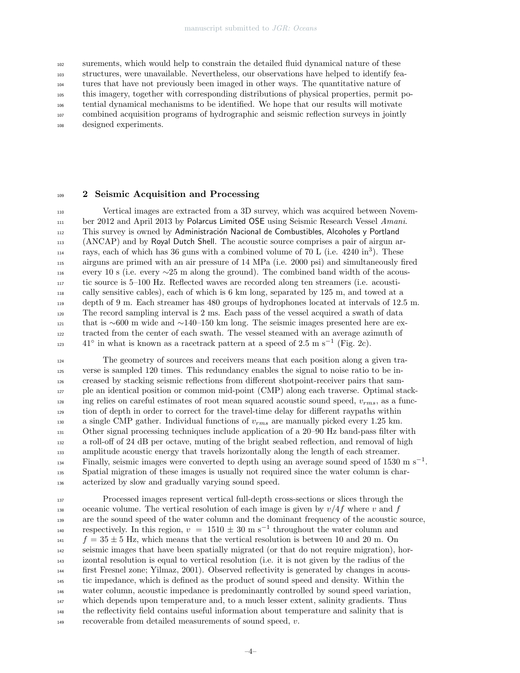surements, which would help to constrain the detailed fluid dynamical nature of these

structures, were unavailable. Nevertheless, our observations have helped to identify fea-

tures that have not previously been imaged in other ways. The quantitative nature of

this imagery, together with corresponding distributions of physical properties, permit po-

tential dynamical mechanisms to be identified. We hope that our results will motivate

combined acquisition programs of hydrographic and seismic reflection surveys in jointly

designed experiments.

# 2 Seismic Acquisition and Processing

 Vertical images are extracted from a 3D survey, which was acquired between Novem- ber 2012 and April 2013 by Polarcus Limited OSE using Seismic Research Vessel Amani. <sup>112</sup> This survey is owned by Administración Nacional de Combustibles, Alcoholes y Portland (ANCAP) and by Royal Dutch Shell. The acoustic source comprises a pair of airgun arrays, each of which has 36 guns with a combined volume of 70 L (i.e.  $4240 \text{ in}^3$ ). These airguns are primed with an air pressure of 14 MPa (i.e. 2000 psi) and simultaneously fired 116 every 10 s (i.e. every  $\sim$ 25 m along the ground). The combined band width of the acous- tic source is 5–100 Hz. Reflected waves are recorded along ten streamers (i.e. acousti- cally sensitive cables), each of which is 6 km long, separated by 125 m, and towed at a depth of 9 m. Each streamer has 480 groups of hydrophones located at intervals of 12.5 m. The record sampling interval is 2 ms. Each pass of the vessel acquired a swath of data that is ∼600 m wide and ∼140–150 km long. The seismic images presented here are ex- tracted from the center of each swath. The vessel steamed with an average azimuth of <sup>123</sup> 41<sup>°</sup> in what is known as a racetrack pattern at a speed of 2.5 m s<sup>-1</sup> (Fig. 2c).

 The geometry of sources and receivers means that each position along a given tra- verse is sampled 120 times. This redundancy enables the signal to noise ratio to be in- creased by stacking seismic reflections from different shotpoint-receiver pairs that sam- ple an identical position or common mid-point (CMP) along each traverse. Optimal stack- $\mu_{128}$  ing relies on careful estimates of root mean squared acoustic sound speed,  $v_{rms}$ , as a func- tion of depth in order to correct for the travel-time delay for different raypaths within 130 a single CMP gather. Individual functions of  $v_{rms}$  are manually picked every 1.25 km. Other signal processing techniques include application of a 20–90 Hz band-pass filter with a roll-off of 24 dB per octave, muting of the bright seabed reflection, and removal of high amplitude acoustic energy that travels horizontally along the length of each streamer. Finally, seismic images were converted to depth using an average sound speed of 1530 m s<sup>-1</sup>. Spatial migration of these images is usually not required since the water column is char-acterized by slow and gradually varying sound speed.

 Processed images represent vertical full-depth cross-sections or slices through the 138 oceanic volume. The vertical resolution of each image is given by  $v/4f$  where v and f are the sound speed of the water column and the dominant frequency of the acoustic source, respectively. In this region,  $v = 1510 \pm 30$  m s<sup>-1</sup> throughout the water column and  $f = 35 \pm 5$  Hz, which means that the vertical resolution is between 10 and 20 m. On seismic images that have been spatially migrated (or that do not require migration), hor- izontal resolution is equal to vertical resolution (i.e. it is not given by the radius of the first Fresnel zone; Yilmaz, 2001). Observed reflectivity is generated by changes in acous- tic impedance, which is defined as the product of sound speed and density. Within the water column, acoustic impedance is predominantly controlled by sound speed variation, which depends upon temperature and, to a much lesser extent, salinity gradients. Thus <sup>148</sup> the reflectivity field contains useful information about temperature and salinity that is recoverable from detailed measurements of sound speed,  $v$ .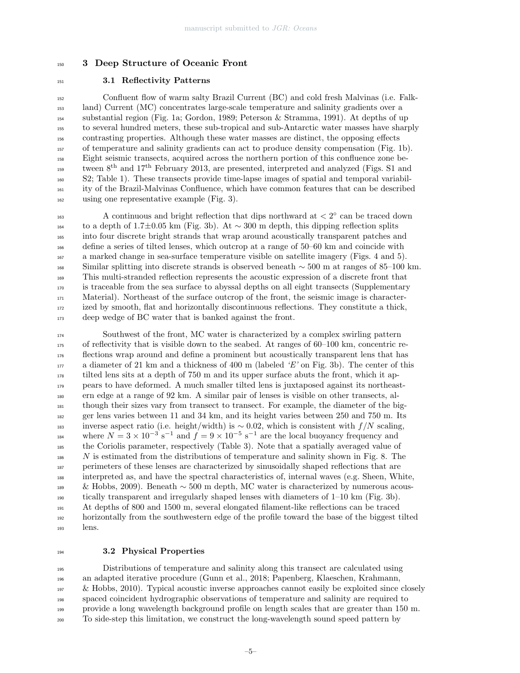# 3 Deep Structure of Oceanic Front

# 3.1 Reflectivity Patterns

 Confluent flow of warm salty Brazil Current (BC) and cold fresh Malvinas (i.e. Falk- land) Current (MC) concentrates large-scale temperature and salinity gradients over a substantial region (Fig. 1a; Gordon, 1989; Peterson & Stramma, 1991). At depths of up to several hundred meters, these sub-tropical and sub-Antarctic water masses have sharply contrasting properties. Although these water masses are distinct, the opposing effects of temperature and salinity gradients can act to produce density compensation (Fig. 1b). Eight seismic transects, acquired across the northern portion of this confluence zone between  $8<sup>th</sup>$  and  $17<sup>th</sup>$  February 2013, are presented, interpreted and analyzed (Figs. S1 and S2; Table 1). These transects provide time-lapse images of spatial and temporal variabil- ity of the Brazil-Malvinas Confluence, which have common features that can be described using one representative example (Fig. 3).

 $A$  continuous and bright reflection that dips northward at  $\langle 2^{\circ} \rangle$  can be traced down to a depth of 1.7±0.05 km (Fig. 3b). At ∼ 300 m depth, this dipping reflection splits into four discrete bright strands that wrap around acoustically transparent patches and define a series of tilted lenses, which outcrop at a range of 50–60 km and coincide with a marked change in sea-surface temperature visible on satellite imagery (Figs. 4 and 5). Similar splitting into discrete strands is observed beneath ~ 500 m at ranges of 85–100 km. This multi-stranded reflection represents the acoustic expression of a discrete front that is traceable from the sea surface to abyssal depths on all eight transects (Supplementary Material). Northeast of the surface outcrop of the front, the seismic image is character- ized by smooth, flat and horizontally discontinuous reflections. They constitute a thick, deep wedge of BC water that is banked against the front.

 Southwest of the front, MC water is characterized by a complex swirling pattern of reflectivity that is visible down to the seabed. At ranges of 60–100 km, concentric re- flections wrap around and define a prominent but acoustically transparent lens that has a diameter of 21 km and a thickness of 400 m (labeled 'E' on Fig. 3b). The center of this tilted lens sits at a depth of 750 m and its upper surface abuts the front, which it ap- pears to have deformed. A much smaller tilted lens is juxtaposed against its northeast- ern edge at a range of 92 km. A similar pair of lenses is visible on other transects, al- though their sizes vary from transect to transect. For example, the diameter of the big- ger lens varies between 11 and 34 km, and its height varies between 250 and 750 m. Its 183 inverse aspect ratio (i.e. height/width) is  $\sim 0.02$ , which is consistent with  $f/N$  scaling, where  $N = 3 \times 10^{-3} \text{ s}^{-1}$  and  $f = 9 \times 10^{-5} \text{ s}^{-1}$  are the local buoyancy frequency and the Coriolis parameter, respectively (Table 3). Note that a spatially averaged value of N is estimated from the distributions of temperature and salinity shown in Fig. 8. The perimeters of these lenses are characterized by sinusoidally shaped reflections that are interpreted as, and have the spectral characteristics of, internal waves (e.g. Sheen, White, & Hobbs, 2009). Beneath ∼ 500 m depth, MC water is characterized by numerous acous- tically transparent and irregularly shaped lenses with diameters of 1–10 km (Fig. 3b). At depths of 800 and 1500 m, several elongated filament-like reflections can be traced horizontally from the southwestern edge of the profile toward the base of the biggest tilted lens.

#### 3.2 Physical Properties

 Distributions of temperature and salinity along this transect are calculated using an adapted iterative procedure (Gunn et al., 2018; Papenberg, Klaeschen, Krahmann,  $\&$  Hobbs, 2010). Typical acoustic inverse approaches cannot easily be exploited since closely spaced coincident hydrographic observations of temperature and salinity are required to provide a long wavelength background profile on length scales that are greater than 150 m. To side-step this limitation, we construct the long-wavelength sound speed pattern by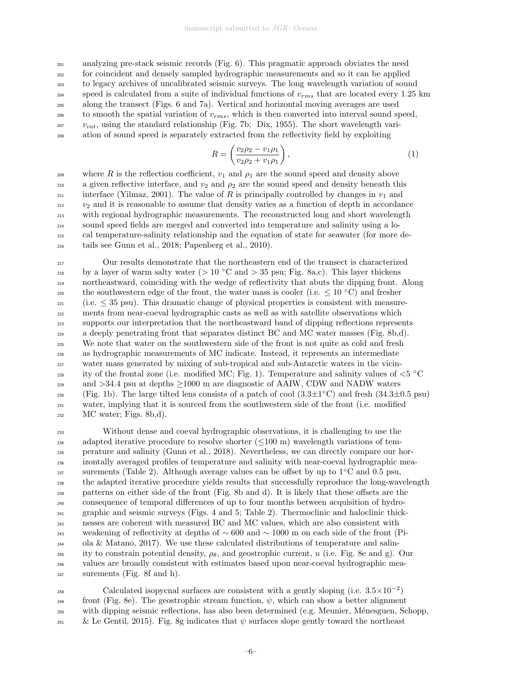analyzing pre-stack seismic records (Fig. 6). This pragmatic approach obviates the need for coincident and densely sampled hydrographic measurements and so it can be applied to legacy archives of uncalibrated seismic surveys. The long wavelength variation of sound speed is calculated from a suite of individual functions of  $v_{rms}$  that are located every 1.25 km along the transect (Figs. 6 and 7a). Vertical and horizontal moving averages are used  $\omega$  to smooth the spatial variation of  $v_{rms}$ , which is then converted into interval sound speed,  $v_{int}$ , using the standard relationship (Fig. 7b; Dix, 1955). The short wavelength vari-ation of sound speed is separately extracted from the reflectivity field by exploiting

$$
R = \left(\frac{v_2 \rho_2 - v_1 \rho_1}{v_2 \rho_2 + v_1 \rho_1}\right),\tag{1}
$$

where R is the reflection coefficient,  $v_1$  and  $\rho_1$  are the sound speed and density above 210 a given reflective interface, and  $v_2$  and  $\rho_2$  are the sound speed and density beneath this interface (Yilmaz, 2001). The value of R is principally controlled by changes in  $v_1$  and  $v_2$  and it is reasonable to assume that density varies as a function of depth in accordance <sup>213</sup> with regional hydrographic measurements. The reconstructed long and short wavelength <sup>214</sup> sound speed fields are merged and converted into temperature and salinity using a lo-<sup>215</sup> cal temperature-salinity relationship and the equation of state for seawater (for more de-<sup>216</sup> tails see Gunn et al., 2018; Papenberg et al., 2010).

<sup>217</sup> Our results demonstrate that the northeastern end of the transect is characterized by a layer of warm salty water ( $> 10$  °C and  $> 35$  psu; Fig. 8a,c). This layer thickens <sup>219</sup> northeastward, coinciding with the wedge of reflectivity that abuts the dipping front. Along the southwestern edge of the front, the water mass is cooler (i.e.  $\leq 10$  °C) and fresher  $_{221}$  (i.e.  $\leq$  35 psu). This dramatic change of physical properties is consistent with measure-<sup>222</sup> ments from near-coeval hydrographic casts as well as with satellite observations which <sup>223</sup> supports our interpretation that the northeastward band of dipping reflections represents <sup>224</sup> a deeply penetrating front that separates distinct BC and MC water masses (Fig. 8b,d). <sup>225</sup> We note that water on the southwestern side of the front is not quite as cold and fresh <sup>226</sup> as hydrographic measurements of MC indicate. Instead, it represents an intermediate <sup>227</sup> water mass generated by mixing of sub-tropical and sub-Antarctic waters in the vicin-<sup>228</sup> ity of the frontal zone (i.e. modified MC; Fig. 1). Temperature and salinity values of  $\lt5$  °C and  $>34.4$  psu at depths  $\geq$ 1000 m are diagnostic of AAIW, CDW and NADW waters <sup>230</sup> (Fig. 1b). The large tilted lens consists of a patch of cool  $(3.3\pm1^{\circ}C)$  and fresh  $(34.3\pm0.5 \text{ psu})$ <sup>231</sup> water, implying that it is sourced from the southwestern side of the front (i.e. modified  $_{232}$  MC water; Figs. 8b,d).

 Without dense and coeval hydrographic observations, it is challenging to use the adapted iterative procedure to resolve shorter (≤100 m) wavelength variations of tem- perature and salinity (Gunn et al., 2018). Nevertheless, we can directly compare our hor- izontally averaged profiles of temperature and salinity with near-coeval hydrographic measurements (Table 2). Although average values can be offset by up to  $1°C$  and 0.5 psu, the adapted iterative procedure yields results that successfully reproduce the long-wavelength patterns on either side of the front (Fig. 8b and d). It is likely that these offsets are the consequence of temporal differences of up to four months between acquisition of hydro- graphic and seismic surveys (Figs. 4 and 5; Table 2). Thermoclinic and haloclinic thick- nesses are coherent with measured BC and MC values, which are also consistent with weakening of reflectivity at depths of  $\sim 600$  and  $\sim 1000$  m on each side of the front (Pi- ola & Matano, 2017). We use these calculated distributions of temperature and salin-245 ity to constrain potential density,  $\rho_{\theta}$ , and geostrophic current, u (i.e. Fig. 8e and g). Our values are broadly consistent with estimates based upon near-coeval hydrographic mea-surements (Fig. 8f and h).

calculated isopycnal surfaces are consistent with a gently sloping (i.e.  $3.5 \times 10^{-2}$ )  $_{249}$  front (Fig. 8e). The geostrophic stream function,  $\psi$ , which can show a better alignment <sup>250</sup> with dipping seismic reflections, has also been determined (e.g. Meunier, M´enesguen, Schopp, 251 & Le Gentil, 2015). Fig. 8g indicates that  $\psi$  surfaces slope gently toward the northeast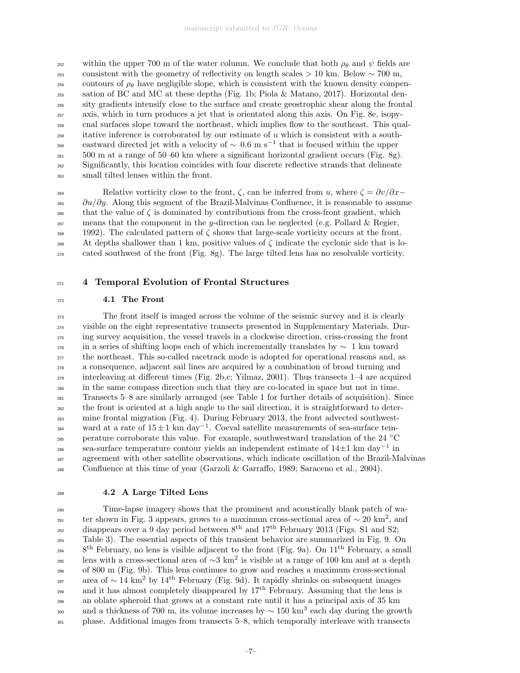within the upper 700 m of the water column. We conclude that both  $\rho_{\theta}$  and  $\psi$  fields are consistent with the geometry of reflectivity on length scales > 10 km. Below  $\sim$  700 m, contours of  $\rho_\theta$  have negligible slope, which is consistent with the known density compen-255 sation of BC and MC at these depths (Fig. 1b; Piola & Matano, 2017). Horizontal den-<sup>256</sup> sity gradients intensify close to the surface and create geostrophic shear along the frontal <sup>257</sup> axis, which in turn produces a jet that is orientated along this axis. On Fig. 8e, isopy-<sup>258</sup> cnal surfaces slope toward the northeast, which implies flow to the southeast. This qual- $_{259}$  itative inference is corroborated by our estimate of u which is consistent with a southeastward directed jet with a velocity of  $\sim 0.6$  m s<sup>-1</sup> that is focused within the upper  $_{261}$  500 m at a range of 50–60 km where a significant horizontal gradient occurs (Fig. 8g). <sup>262</sup> Significantly, this location coincides with four discrete reflective strands that delineate <sup>263</sup> small tilted lenses within the front.

264 Relative vorticity close to the front,  $\zeta$ , can be inferred from u, where  $\zeta = \frac{\partial v}{\partial x}$  $\partial u/\partial y$ . Along this segment of the Brazil-Malvinas Confluence, it is reasonable to assume that the value of  $\zeta$  is dominated by contributions from the cross-front gradient, which  $_{267}$  means that the component in the y-direction can be neglected (e.g. Pollard & Regier,  $268$  1992). The calculated pattern of  $\zeta$  shows that large-scale vorticity occurs at the front. 269 At depths shallower than 1 km, positive values of  $\zeta$  indicate the cyclonic side that is lo-<sup>270</sup> cated southwest of the front (Fig. 8g). The large tilted lens has no resolvable vorticity.

#### <sup>271</sup> 4 Temporal Evolution of Frontal Structures

# <sup>272</sup> 4.1 The Front

 The front itself is imaged across the volume of the seismic survey and it is clearly visible on the eight representative transects presented in Supplementary Materials. Dur- ing survey acquisition, the vessel travels in a clockwise direction, criss-crossing the front 276 in a series of shifting loops each of which incrementally translates by  $∼ 1$  km toward the northeast. This so-called racetrack mode is adopted for operational reasons and, as a consequence, adjacent sail lines are acquired by a combination of broad turning and interleaving at different times (Fig. 2b,c; Yilmaz, 2001). Thus transects 1–4 are acquired in the same compass direction such that they are co-located in space but not in time. Transects 5–8 are similarly arranged (see Table 1 for further details of acquisition). Since the front is oriented at a high angle to the sail direction, it is straightforward to deter- mine frontal migration (Fig. 4). During February 2013, the front advected southwestward at a rate of  $15 \pm 1$  km day<sup>-1</sup>. Coeval satellite measurements of sea-surface tem- $_{285}$  perature corroborate this value. For example, southwestward translation of the 24 °C sea-surface temperature contour yields an independent estimate of  $14\pm1$  km day<sup>-1</sup> in agreement with other satellite observations, which indicate oscillation of the Brazil-Malvinas 288 Confluence at this time of year (Garzoli & Garraffo, 1989; Saraceno et al., 2004).

#### <sup>289</sup> 4.2 A Large Tilted Lens

<sup>290</sup> Time-lapse imagery shows that the prominent and acoustically blank patch of water shown in Fig. 3 appears, grows to a maximum cross-sectional area of  $\sim 20 \text{ km}^2$ , and disappears over a 9 day period between  $8<sup>th</sup>$  and  $17<sup>th</sup>$  February 2013 (Figs. S1 and S2; <sup>293</sup> Table 3). The essential aspects of this transient behavior are summarized in Fig. 9. On  $8<sup>th</sup>$  February, no lens is visible adjacent to the front (Fig. 9a). On  $11<sup>th</sup>$  February, a small lens with a cross-sectional area of  $\sim$ 3 km<sup>2</sup> is visible at a range of 100 km and at a depth <sup>296</sup> of 800 m (Fig. 9b). This lens continues to grow and reaches a maximum cross-sectional area of  $\sim 14 \text{ km}^2$  by  $14^{\text{th}}$  February (Fig. 9d). It rapidly shrinks on subsequent images and it has almost completely disappeared by  $17<sup>th</sup>$  February. Assuming that the lens is <sup>299</sup> an oblate spheroid that grows at a constant rate until it has a principal axis of 35 km and a thickness of 700 m, its volume increases by  $\sim 150 \text{ km}^3$  each day during the growth <sup>301</sup> phase. Additional images from transects 5–8, which temporally interleave with transects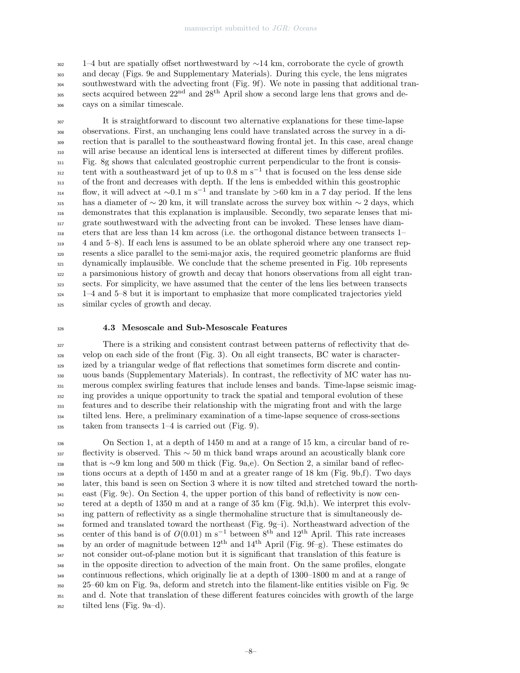1–4 but are spatially offset northwestward by ∼14 km, corroborate the cycle of growth and decay (Figs. 9e and Supplementary Materials). During this cycle, the lens migrates southwestward with the advecting front (Fig. 9f). We note in passing that additional transects acquired between  $22<sup>nd</sup>$  and  $28<sup>th</sup>$  April show a second large lens that grows and de-cays on a similar timescale.

 It is straightforward to discount two alternative explanations for these time-lapse observations. First, an unchanging lens could have translated across the survey in a di- rection that is parallel to the southeastward flowing frontal jet. In this case, areal change will arise because an identical lens is intersected at different times by different profiles. Fig. 8g shows that calculated geostrophic current perpendicular to the front is consis $t_{312}$  tent with a southeastward jet of up to 0.8 m s<sup>-1</sup> that is focused on the less dense side of the front and decreases with depth. If the lens is embedded within this geostrophic  $f_{314}$  flow, it will advect at ~0.1 m s<sup>-1</sup> and translate by >60 km in a 7 day period. If the lens has a diameter of  $\sim 20$  km, it will translate across the survey box within  $\sim 2$  days, which demonstrates that this explanation is implausible. Secondly, two separate lenses that mi- grate southwestward with the advecting front can be invoked. These lenses have diam- eters that are less than 14 km across (i.e. the orthogonal distance between transects 1– 4 and 5–8). If each lens is assumed to be an oblate spheroid where any one transect rep- resents a slice parallel to the semi-major axis, the required geometric planforms are fluid dynamically implausible. We conclude that the scheme presented in Fig. 10b represents a parsimonious history of growth and decay that honors observations from all eight tran- sects. For simplicity, we have assumed that the center of the lens lies between transects  $1-4$  and  $5-8$  but it is important to emphasize that more complicated trajectories yield similar cycles of growth and decay.

## 4.3 Mesoscale and Sub-Mesoscale Features

 There is a striking and consistent contrast between patterns of reflectivity that de- velop on each side of the front (Fig. 3). On all eight transects, BC water is character- ized by a triangular wedge of flat reflections that sometimes form discrete and contin- uous bands (Supplementary Materials). In contrast, the reflectivity of MC water has nu- merous complex swirling features that include lenses and bands. Time-lapse seismic imag- ing provides a unique opportunity to track the spatial and temporal evolution of these features and to describe their relationship with the migrating front and with the large tilted lens. Here, a preliminary examination of a time-lapse sequence of cross-sections taken from transects 1–4 is carried out (Fig. 9).

 On Section 1, at a depth of 1450 m and at a range of 15 km, a circular band of re- flectivity is observed. This  $\sim 50$  m thick band wraps around an acoustically blank core that is ∼9 km long and 500 m thick (Fig. 9a,e). On Section 2, a similar band of reflec- tions occurs at a depth of 1450 m and at a greater range of 18 km (Fig. 9b,f). Two days later, this band is seen on Section 3 where it is now tilted and stretched toward the north- east (Fig. 9c). On Section 4, the upper portion of this band of reflectivity is now cen- tered at a depth of 1350 m and at a range of 35 km (Fig. 9d,h). We interpret this evolv- ing pattern of reflectivity as a single thermohaline structure that is simultaneously de- formed and translated toward the northeast (Fig. 9g–i). Northeastward advection of the center of this band is of  $O(0.01)$  m s<sup>-1</sup> between 8<sup>th</sup> and 12<sup>th</sup> April. This rate increases <sup>346</sup> by an order of magnitude between  $12<sup>th</sup>$  and  $14<sup>th</sup>$  April (Fig. 9f–g). These estimates do not consider out-of-plane motion but it is significant that translation of this feature is <sup>348</sup> in the opposite direction to advection of the main front. On the same profiles, elongate continuous reflections, which originally lie at a depth of 1300–1800 m and at a range of 25–60 km on Fig. 9a, deform and stretch into the filament-like entities visible on Fig. 9c and d. Note that translation of these different features coincides with growth of the large tilted lens (Fig. 9a–d).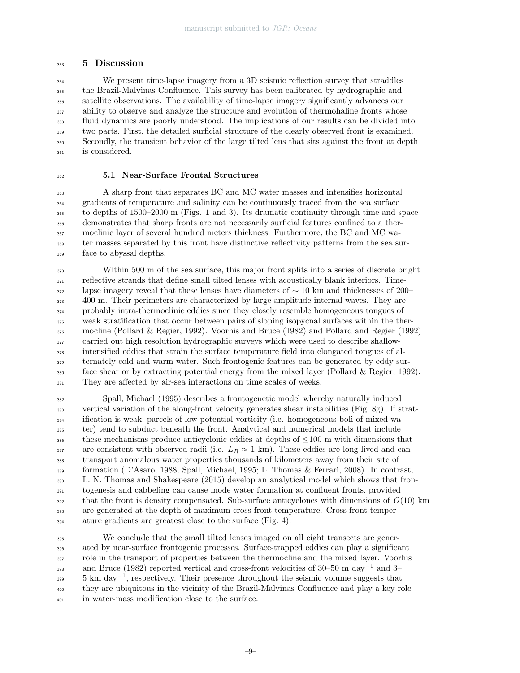#### 5 Discussion

 We present time-lapse imagery from a 3D seismic reflection survey that straddles the Brazil-Malvinas Confluence. This survey has been calibrated by hydrographic and satellite observations. The availability of time-lapse imagery significantly advances our ability to observe and analyze the structure and evolution of thermohaline fronts whose fluid dynamics are poorly understood. The implications of our results can be divided into two parts. First, the detailed surficial structure of the clearly observed front is examined. Secondly, the transient behavior of the large tilted lens that sits against the front at depth is considered.

#### 5.1 Near-Surface Frontal Structures

 A sharp front that separates BC and MC water masses and intensifies horizontal gradients of temperature and salinity can be continuously traced from the sea surface to depths of 1500–2000 m (Figs. 1 and 3). Its dramatic continuity through time and space demonstrates that sharp fronts are not necessarily surficial features confined to a ther- moclinic layer of several hundred meters thickness. Furthermore, the BC and MC wa- ter masses separated by this front have distinctive reflectivity patterns from the sea sur-face to abyssal depths.

 Within 500 m of the sea surface, this major front splits into a series of discrete bright  $_{371}$  reflective strands that define small tilted lenses with acoustically blank interiors. Time- lapse imagery reveal that these lenses have diameters of ∼ 10 km and thicknesses of 200– <sup>373</sup> 400 m. Their perimeters are characterized by large amplitude internal waves. They are probably intra-thermoclinic eddies since they closely resemble homogeneous tongues of weak stratification that occur between pairs of sloping isopycnal surfaces within the ther- mocline (Pollard & Regier, 1992). Voorhis and Bruce (1982) and Pollard and Regier (1992) carried out high resolution hydrographic surveys which were used to describe shallow- intensified eddies that strain the surface temperature field into elongated tongues of al- ternately cold and warm water. Such frontogenic features can be generated by eddy sur- face shear or by extracting potential energy from the mixed layer (Pollard & Regier, 1992). They are affected by air-sea interactions on time scales of weeks.

 Spall, Michael (1995) describes a frontogenetic model whereby naturally induced vertical variation of the along-front velocity generates shear instabilities (Fig. 8g). If strat- ification is weak, parcels of low potential vorticity (i.e. homogeneous boli of mixed wa- ter) tend to subduct beneath the front. Analytical and numerical models that include 386 these mechanisms produce anticyclonic eddies at depths of  $\leq 100$  m with dimensions that 387 are consistent with observed radii (i.e.  $L_R \approx 1 \text{ km}$ ). These eddies are long-lived and can transport anomalous water properties thousands of kilometers away from their site of formation (D'Asaro, 1988; Spall, Michael, 1995; L. Thomas & Ferrari, 2008). In contrast, L. N. Thomas and Shakespeare (2015) develop an analytical model which shows that fron- togenesis and cabbeling can cause mode water formation at confluent fronts, provided  $_{392}$  that the front is density compensated. Sub-surface anticyclones with dimensions of  $O(10)$  km are generated at the depth of maximum cross-front temperature. Cross-front temper-ature gradients are greatest close to the surface (Fig. 4).

 We conclude that the small tilted lenses imaged on all eight transects are gener- ated by near-surface frontogenic processes. Surface-trapped eddies can play a significant role in the transport of properties between the thermocline and the mixed layer. Voorhis <sup>398</sup> and Bruce (1982) reported vertical and cross-front velocities of 30–50 m day<sup>-1</sup> and 3–  $5 \text{ km day}^{-1}$ , respectively. Their presence throughout the seismic volume suggests that they are ubiquitous in the vicinity of the Brazil-Malvinas Confluence and play a key role in water-mass modification close to the surface.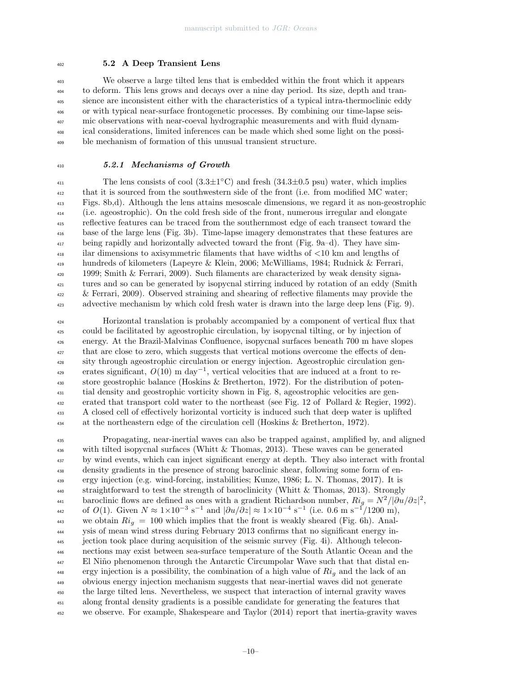## 5.2 A Deep Transient Lens

 We observe a large tilted lens that is embedded within the front which it appears to deform. This lens grows and decays over a nine day period. Its size, depth and tran- sience are inconsistent either with the characteristics of a typical intra-thermoclinic eddy or with typical near-surface frontogenetic processes. By combining our time-lapse seis- mic observations with near-coeval hydrographic measurements and with fluid dynam- ical considerations, limited inferences can be made which shed some light on the possi-ble mechanism of formation of this unusual transient structure.

# 5.2.1 Mechanisms of Growth

<sup>411</sup> The lens consists of cool  $(3.3\pm1^{\circ} \text{C})$  and fresh  $(34.3\pm0.5 \text{ psu})$  water, which implies that it is sourced from the southwestern side of the front (i.e. from modified MC water; Figs. 8b,d). Although the lens attains mesoscale dimensions, we regard it as non-geostrophic (i.e. ageostrophic). On the cold fresh side of the front, numerous irregular and elongate reflective features can be traced from the southernmost edge of each transect toward the base of the large lens (Fig. 3b). Time-lapse imagery demonstrates that these features are being rapidly and horizontally advected toward the front (Fig. 9a–d). They have sim- ilar dimensions to axisymmetric filaments that have widths of <10 km and lengths of hundreds of kilometers (Lapeyre & Klein, 2006; McWilliams, 1984; Rudnick & Ferrari,  $_{420}$  1999; Smith & Ferrari, 2009). Such filaments are characterized by weak density signa- tures and so can be generated by isopycnal stirring induced by rotation of an eddy (Smith & Ferrari, 2009). Observed straining and shearing of reflective filaments may provide the advective mechanism by which cold fresh water is drawn into the large deep lens (Fig. 9).

 Horizontal translation is probably accompanied by a component of vertical flux that could be facilitated by ageostrophic circulation, by isopycnal tilting, or by injection of energy. At the Brazil-Malvinas Confluence, isopycnal surfaces beneath 700 m have slopes <sup>427</sup> that are close to zero, which suggests that vertical motions overcome the effects of den- sity through ageostrophic circulation or energy injection. Ageostrophic circulation generates significant,  $O(10)$  m day<sup>-1</sup>, vertical velocities that are induced at a front to re- store geostrophic balance (Hoskins & Bretherton, 1972). For the distribution of poten- tial density and geostrophic vorticity shown in Fig. 8, ageostrophic velocities are gen- erated that transport cold water to the northeast (see Fig. 12 of Pollard & Regier, 1992). A closed cell of effectively horizontal vorticity is induced such that deep water is uplifted at the northeastern edge of the circulation cell (Hoskins & Bretherton, 1972).

 Propagating, near-inertial waves can also be trapped against, amplified by, and aligned with tilted isopycnal surfaces (Whitt & Thomas, 2013). These waves can be generated <sup>437</sup> by wind events, which can inject significant energy at depth. They also interact with frontal density gradients in the presence of strong baroclinic shear, following some form of en- ergy injection (e.g. wind-forcing, instabilities; Kunze, 1986; L. N. Thomas, 2017). It is straightforward to test the strength of baroclinicity (Whitt & Thomas, 2013). Strongly baroclinic flows are defined as ones with a gradient Richardson number,  $Ri_g = N^2/|\partial u/\partial z|^2$ , 442 of O(1). Given  $N \approx 1 \times 10^{-3} \text{ s}^{-1}$  and  $|\partial u / \partial z| \approx 1 \times 10^{-4} \text{ s}^{-1}$  (i.e. 0.6 m s<sup>-1</sup>/1200 m), 443 we obtain  $Ri_q = 100$  which implies that the front is weakly sheared (Fig. 6h). Anal- ysis of mean wind stress during February 2013 confirms that no significant energy in- jection took place during acquisition of the seismic survey (Fig. 4i). Although telecon- nections may exist between sea-surface temperature of the South Atlantic Ocean and the <sup>447</sup> El Niño phenomenon through the Antarctic Circumpolar Wave such that that distal en-<sup>448</sup> ergy injection is a possibility, the combination of a high value of  $Ri<sub>q</sub>$  and the lack of an obvious energy injection mechanism suggests that near-inertial waves did not generate the large tilted lens. Nevertheless, we suspect that interaction of internal gravity waves along frontal density gradients is a possible candidate for generating the features that we observe. For example, Shakespeare and Taylor (2014) report that inertia-gravity waves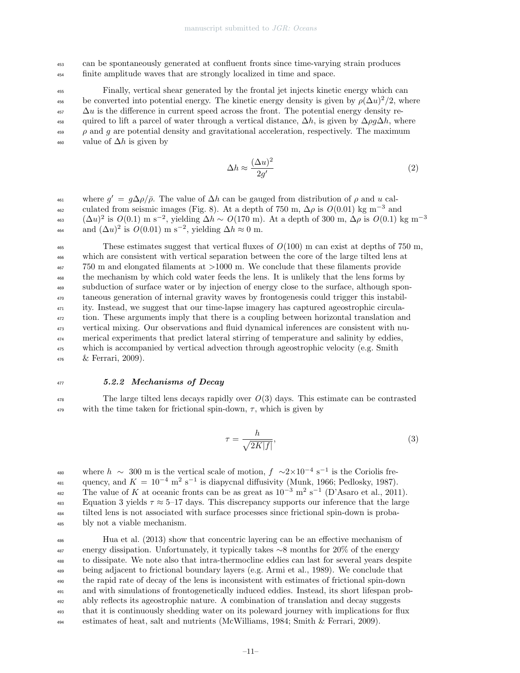<sup>453</sup> can be spontaneously generated at confluent fronts since time-varying strain produces <sup>454</sup> finite amplitude waves that are strongly localized in time and space.

<sup>455</sup> Finally, vertical shear generated by the frontal jet injects kinetic energy which can 456 be converted into potential energy. The kinetic energy density is given by  $\rho(\Delta u)^2/2$ , where  $\Delta u$  is the difference in current speed across the front. The potential energy density re-458 quired to lift a parcel of water through a vertical distance,  $\Delta h$ , is given by  $\Delta \rho q \Delta h$ , where  $\rho$  and g are potential density and gravitational acceleration, respectively. The maximum  $\frac{460}{460}$  value of  $\Delta h$  is given by

$$
\Delta h \approx \frac{(\Delta u)^2}{2g'}\tag{2}
$$

where  $g' = g\Delta\rho/\bar{\rho}$ . The value of  $\Delta h$  can be gauged from distribution of  $\rho$  and u cal-<sup>462</sup> culated from seismic images (Fig. 8). At a depth of 750 m,  $\Delta \rho$  is  $O(0.01)$  kg m<sup>-3</sup> and  $(\Delta u)^2$  is  $O(0.1)$  m s<sup>-2</sup>, yielding  $\Delta h \sim O(170 \text{ m})$ . At a depth of 300 m,  $\Delta \rho$  is  $O(0.1)$  kg m<sup>-3</sup> 463 <sup>464</sup> and  $(\Delta u)^2$  is  $O(0.01)$  m s<sup>-2</sup>, yielding  $\Delta h \approx 0$  m.

<sup>465</sup> These estimates suggest that vertical fluxes of  $O(100)$  m can exist at depths of 750 m, which are consistent with vertical separation between the core of the large tilted lens at 750 m and elongated filaments at >1000 m. We conclude that these filaments provide the mechanism by which cold water feeds the lens. It is unlikely that the lens forms by subduction of surface water or by injection of energy close to the surface, although spon- taneous generation of internal gravity waves by frontogenesis could trigger this instabil-<sup>471</sup> ity. Instead, we suggest that our time-lapse imagery has captured ageostrophic circula-<sup>472</sup> tion. These arguments imply that there is a coupling between horizontal translation and vertical mixing. Our observations and fluid dynamical inferences are consistent with nu- merical experiments that predict lateral stirring of temperature and salinity by eddies, which is accompanied by vertical advection through ageostrophic velocity (e.g. Smith & Ferrari, 2009).

#### <sup>477</sup> 5.2.2 Mechanisms of Decay

<sup>478</sup> The large tilted lens decays rapidly over  $O(3)$  days. This estimate can be contrasted 479 with the time taken for frictional spin-down,  $\tau$ , which is given by

$$
\tau = \frac{h}{\sqrt{2K|f|}},\tag{3}
$$

<sup>480</sup> where  $h \sim 300$  m is the vertical scale of motion,  $f \sim 2 \times 10^{-4}$  s<sup>-1</sup> is the Coriolis frequency, and  $K = 10^{-4}$  m<sup>2</sup> s<sup>-1</sup> is diapycnal diffusivity (Munk, 1966; Pedlosky, 1987).  $\text{The value of } K \text{ at oceanic fronts can be as great as } 10^{-3} \text{ m}^2 \text{ s}^{-1} \text{ (D'Asaro et al., 2011).}$ 483 Equation 3 yields  $\tau \approx 5$ –17 days. This discrepancy supports our inference that the large <sup>484</sup> tilted lens is not associated with surface processes since frictional spin-down is proba-<sup>485</sup> bly not a viable mechanism.

 Hua et al. (2013) show that concentric layering can be an effective mechanism of energy dissipation. Unfortunately, it typically takes  $\sim$ 8 months for 20% of the energy to dissipate. We note also that intra-thermocline eddies can last for several years despite being adjacent to frictional boundary layers (e.g. Armi et al., 1989). We conclude that the rapid rate of decay of the lens is inconsistent with estimates of frictional spin-down and with simulations of frontogenetically induced eddies. Instead, its short lifespan prob- ably reflects its ageostrophic nature. A combination of translation and decay suggests that it is continuously shedding water on its poleward journey with implications for flux estimates of heat, salt and nutrients (McWilliams, 1984; Smith & Ferrari, 2009).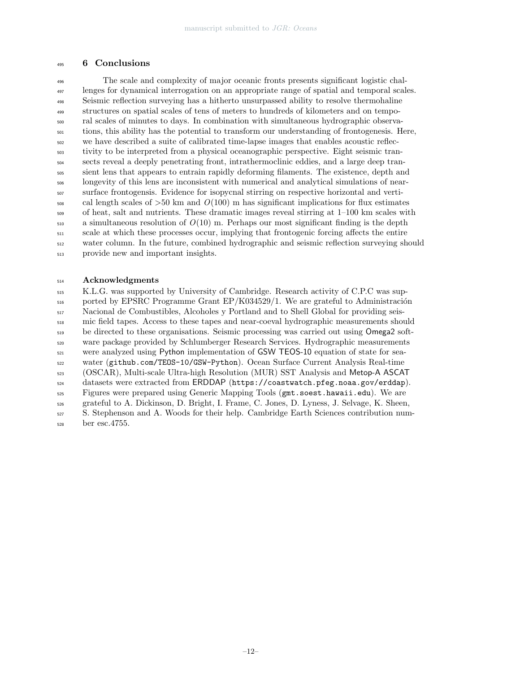# 6 Conclusions

 The scale and complexity of major oceanic fronts presents significant logistic chal- lenges for dynamical interrogation on an appropriate range of spatial and temporal scales. Seismic reflection surveying has a hitherto unsurpassed ability to resolve thermohaline structures on spatial scales of tens of meters to hundreds of kilometers and on tempo- ral scales of minutes to days. In combination with simultaneous hydrographic observa- tions, this ability has the potential to transform our understanding of frontogenesis. Here, we have described a suite of calibrated time-lapse images that enables acoustic reflec- tivity to be interpreted from a physical oceanographic perspective. Eight seismic tran- sects reveal a deeply penetrating front, intrathermoclinic eddies, and a large deep tran- sient lens that appears to entrain rapidly deforming filaments. The existence, depth and longevity of this lens are inconsistent with numerical and analytical simulations of near- surface frontogensis. Evidence for isopycnal stirring on respective horizontal and verti- $\frac{1}{508}$  cal length scales of  $>50$  km and  $O(100)$  m has significant implications for flux estimates of heat, salt and nutrients. These dramatic images reveal stirring at 1–100 km scales with a simultaneous resolution of  $O(10)$  m. Perhaps our most significant finding is the depth scale at which these processes occur, implying that frontogenic forcing affects the entire water column. In the future, combined hydrographic and seismic reflection surveying should provide new and important insights.

# Acknowledgments

 K.L.G. was supported by University of Cambridge. Research activity of C.P.C was sup- $_{516}$  ported by EPSRC Programme Grant EP/K034529/1. We are grateful to Administración Nacional de Combustibles, Alcoholes y Portland and to Shell Global for providing seis- mic field tapes. Access to these tapes and near-coeval hydrographic measurements should <sub>519</sub> be directed to these organisations. Seismic processing was carried out using Omega2 soft- ware package provided by Schlumberger Research Services. Hydrographic measurements were analyzed using Python implementation of GSW TEOS-10 equation of state for sea- water (github.com/TEOS-10/GSW-Python). Ocean Surface Current Analysis Real-time (OSCAR), Multi-scale Ultra-high Resolution (MUR) SST Analysis and Metop-A ASCAT datasets were extracted from ERDDAP (https://coastwatch.pfeg.noaa.gov/erddap). Figures were prepared using Generic Mapping Tools (gmt.soest.hawaii.edu). We are grateful to A. Dickinson, D. Bright, I. Frame, C. Jones, D. Lyness, J. Selvage, K. Sheen, S. Stephenson and A. Woods for their help. Cambridge Earth Sciences contribution num-ber esc.4755.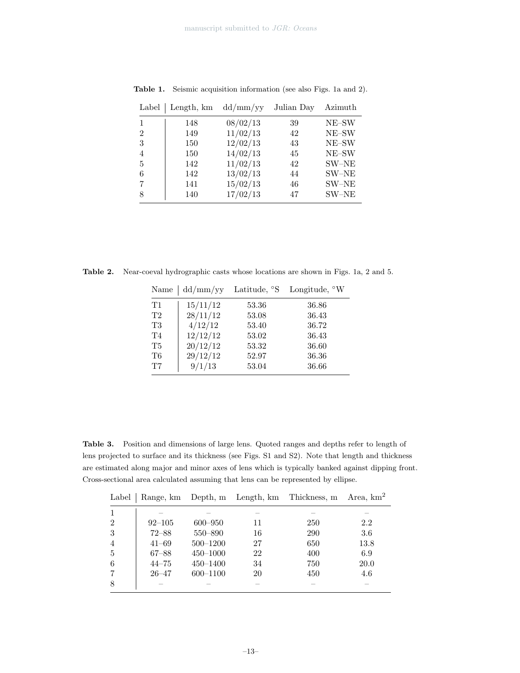| Label          | Length, km | dd/mm/yy | Julian Day | Azimuth |
|----------------|------------|----------|------------|---------|
| 1              | 148        | 08/02/13 | 39         | NE-SW   |
| $\overline{2}$ | 149        | 11/02/13 | 42         | NE-SW   |
| 3              | 150        | 12/02/13 | 43         | NE-SW   |
| $\overline{4}$ | 150        | 14/02/13 | 45         | NE-SW   |
| 5              | 142        | 11/02/13 | 42         | $SW-NE$ |
| 6              | 142        | 13/02/13 | 44         | SW-NE   |
| 7              | 141        | 15/02/13 | 46         | SW-NE   |
| 8              | 140        | 17/02/13 | 47         | SW-NE   |

Table 1. Seismic acquisition information (see also Figs. 1a and 2).

Table 2. Near-coeval hydrographic casts whose locations are shown in Figs. 1a, 2 and 5.

| Name          | dd/mm/yy |       | Latitude, $\degree S$ Longitude, $\degree W$ |
|---------------|----------|-------|----------------------------------------------|
| $\rm{T}1$     | 15/11/12 | 53.36 | 36.86                                        |
| $\mathrm{T}2$ | 28/11/12 | 53.08 | 36.43                                        |
| $\rm{T}3$     | 4/12/12  | 53.40 | 36.72                                        |
| T4            | 12/12/12 | 53.02 | 36.43                                        |
| T5            | 20/12/12 | 53.32 | 36.60                                        |
| $\mathrm{T6}$ | 29/12/12 | 52.97 | 36.36                                        |
| $\rm{T}7$     | 9/1/13   | 53.04 | 36.66                                        |

Table 3. Position and dimensions of large lens. Quoted ranges and depths refer to length of lens projected to surface and its thickness (see Figs. S1 and S2). Note that length and thickness are estimated along major and minor axes of lens which is typically banked against dipping front. Cross-sectional area calculated assuming that lens can be represented by ellipse.

| Label          |            |              |    | Range, km Depth, m Length, km Thickness, m | Area, $km2$ |
|----------------|------------|--------------|----|--------------------------------------------|-------------|
|                |            |              |    |                                            |             |
| $\overline{2}$ | $92 - 105$ | $600 - 950$  | 11 | 250                                        | 2.2         |
| 3              | $72 - 88$  | 550–890      | 16 | 290                                        | 3.6         |
| 4              | $41 - 69$  | $500 - 1200$ | 27 | 650                                        | 13.8        |
| 5              | $67 - 88$  | $450 - 1000$ | 22 | 400                                        | 6.9         |
| 6              | $44 - 75$  | $450 - 1400$ | 34 | 750                                        | 20.0        |
| 7              | $26 - 47$  | $600 - 1100$ | 20 | 450                                        | 4.6         |
| 8              |            |              |    |                                            |             |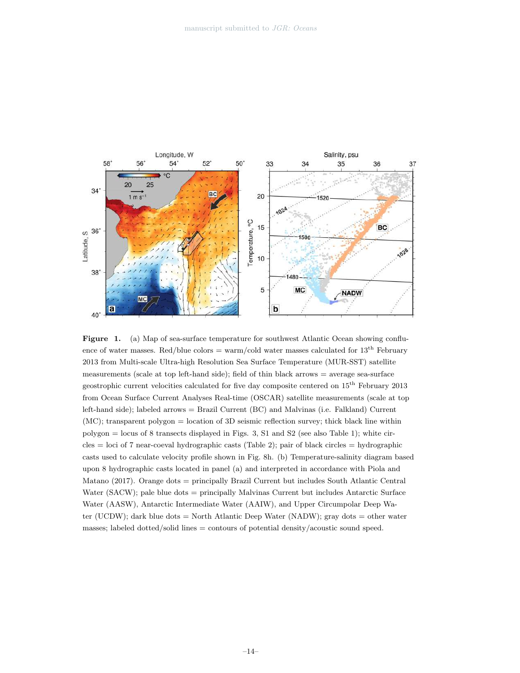

Figure 1. (a) Map of sea-surface temperature for southwest Atlantic Ocean showing confluence of water masses. Red/blue colors = warm/cold water masses calculated for  $13^{th}$  February 2013 from Multi-scale Ultra-high Resolution Sea Surface Temperature (MUR-SST) satellite measurements (scale at top left-hand side); field of thin black arrows = average sea-surface geostrophic current velocities calculated for five day composite centered on  $15^{\text{th}}$  February 2013 from Ocean Surface Current Analyses Real-time (OSCAR) satellite measurements (scale at top left-hand side); labeled arrows = Brazil Current (BC) and Malvinas (i.e. Falkland) Current (MC); transparent polygon = location of 3D seismic reflection survey; thick black line within polygon = locus of 8 transects displayed in Figs. 3, S1 and S2 (see also Table 1); white cir $cles = loci$  of 7 near-coeval hydrographic casts (Table 2); pair of black circles  $=$  hydrographic casts used to calculate velocity profile shown in Fig. 8h. (b) Temperature-salinity diagram based upon 8 hydrographic casts located in panel (a) and interpreted in accordance with Piola and Matano (2017). Orange dots = principally Brazil Current but includes South Atlantic Central Water (SACW); pale blue dots = principally Malvinas Current but includes Antarctic Surface Water (AASW), Antarctic Intermediate Water (AAIW), and Upper Circumpolar Deep Water (UCDW); dark blue dots = North Atlantic Deep Water (NADW); gray dots = other water masses; labeled dotted/solid lines = contours of potential density/acoustic sound speed.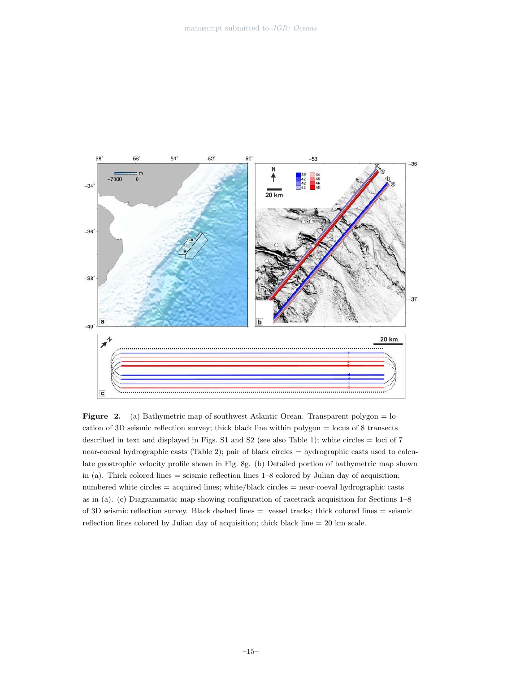

Figure 2. (a) Bathymetric map of southwest Atlantic Ocean. Transparent polygon = location of 3D seismic reflection survey; thick black line within polygon = locus of 8 transects described in text and displayed in Figs. S1 and S2 (see also Table 1); white circles  $=$  loci of 7 near-coeval hydrographic casts (Table 2); pair of black circles = hydrographic casts used to calculate geostrophic velocity profile shown in Fig. 8g. (b) Detailed portion of bathymetric map shown in (a). Thick colored lines = seismic reflection lines 1–8 colored by Julian day of acquisition; numbered white circles = acquired lines; white/black circles = near-coeval hydrographic casts as in (a). (c) Diagrammatic map showing configuration of racetrack acquisition for Sections 1–8 of 3D seismic reflection survey. Black dashed lines = vessel tracks; thick colored lines = seismic reflection lines colored by Julian day of acquisition; thick black line  $= 20 \text{ km scale}$ .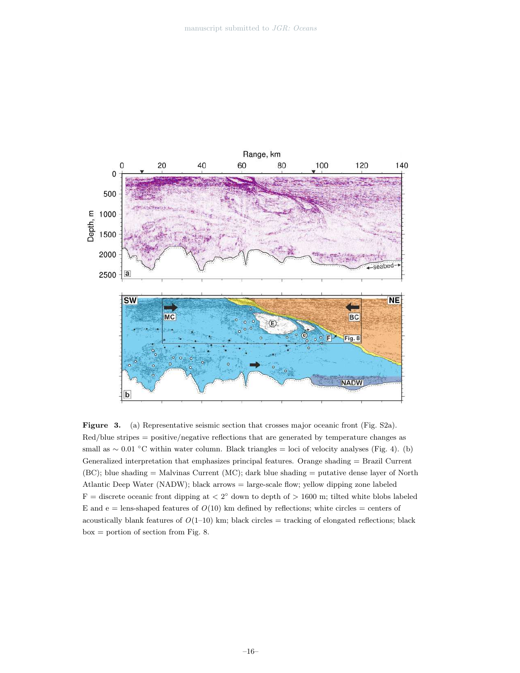

Figure 3. (a) Representative seismic section that crosses major oceanic front (Fig. S2a). Red/blue stripes = positive/negative reflections that are generated by temperature changes as small as  $\sim 0.01$  °C within water column. Black triangles = loci of velocity analyses (Fig. 4). (b) Generalized interpretation that emphasizes principal features. Orange shading = Brazil Current (BC); blue shading = Malvinas Current (MC); dark blue shading = putative dense layer of North Atlantic Deep Water (NADW); black arrows = large-scale flow; yellow dipping zone labeled  $F =$  discrete oceanic front dipping at  $\langle 2^{\circ}$  down to depth of  $> 1600$  m; tilted white blobs labeled E and  $e =$  lens-shaped features of  $O(10)$  km defined by reflections; white circles = centers of acoustically blank features of  $O(1-10)$  km; black circles  $=$  tracking of elongated reflections; black box = portion of section from Fig. 8.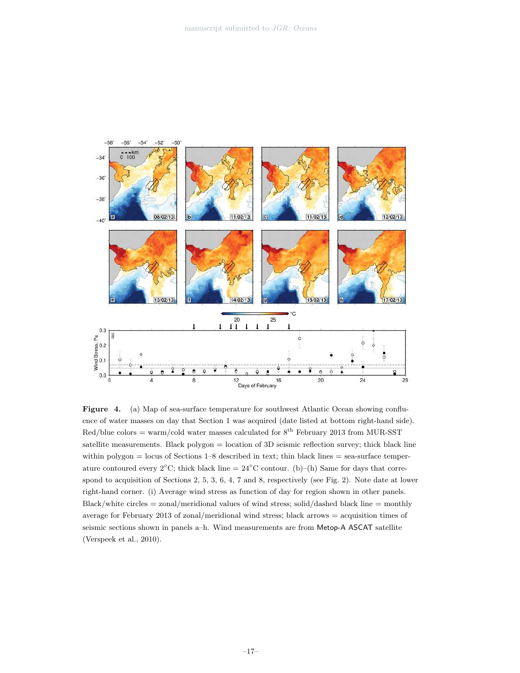

Figure 4. (a) Map of sea-surface temperature for southwest Atlantic Ocean showing confluence of water masses on day that Section 1 was acquired (date listed at bottom right-hand side). Red/blue colors = warm/cold water masses calculated for  $8^{th}$  February 2013 from MUR-SST satellite measurements. Black polygon = location of 3D seismic reflection survey; thick black line within polygon  $=$  locus of Sections 1–8 described in text; thin black lines  $=$  sea-surface temperature contoured every 2°C; thick black line =  $24^{\circ}$ C contour. (b)–(h) Same for days that correspond to acquisition of Sections 2, 5, 3, 6, 4, 7 and 8, respectively (see Fig. 2). Note date at lower right-hand corner. (i) Average wind stress as function of day for region shown in other panels.  $Black/white circles = zonal/meridional values of wind stress; solid/dashed black line = monthly$ average for February 2013 of zonal/meridional wind stress; black arrows = acquisition times of seismic sections shown in panels a–h. Wind measurements are from Metop-A ASCAT satellite (Verspeek et al., 2010).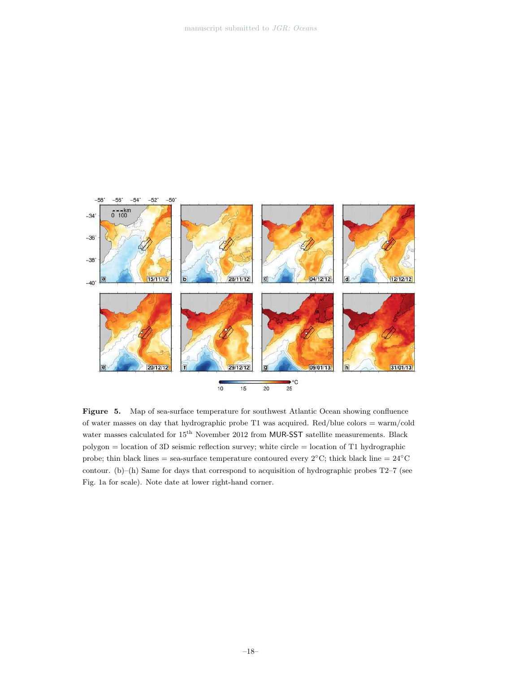

Figure 5. Map of sea-surface temperature for southwest Atlantic Ocean showing confluence of water masses on day that hydrographic probe T1 was acquired. Red/blue colors = warm/cold water masses calculated for  $15^{\mathrm{th}}$  November 2012 from  $\textsf{MUR- SST}$  satellite measurements. Black polygon = location of 3D seismic reflection survey; white circle = location of T1 hydrographic probe; thin black lines = sea-surface temperature contoured every  $2°C$ ; thick black line =  $24°C$ contour. (b)–(h) Same for days that correspond to acquisition of hydrographic probes T2–7 (see Fig. 1a for scale). Note date at lower right-hand corner.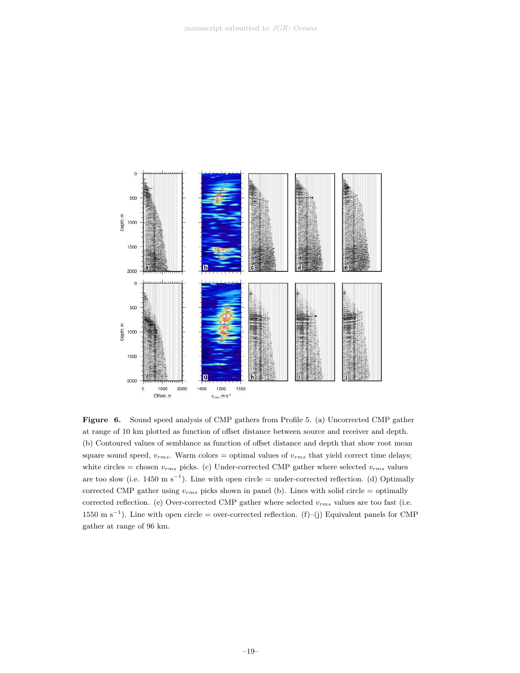

Figure 6. Sound speed analysis of CMP gathers from Profile 5. (a) Uncorrected CMP gather at range of 10 km plotted as function of offset distance between source and receiver and depth. (b) Contoured values of semblance as function of offset distance and depth that show root mean square sound speed,  $v_{rms}$ . Warm colors = optimal values of  $v_{rms}$  that yield correct time delays; white circles = chosen  $v_{rms}$  picks. (c) Under-corrected CMP gather where selected  $v_{rms}$  values are too slow (i.e.  $1450 \text{ m s}^{-1}$ ). Line with open circle = under-corrected reflection. (d) Optimally corrected CMP gather using  $v_{rms}$  picks shown in panel (b). Lines with solid circle = optimally corrected reflection. (e) Over-corrected CMP gather where selected  $v_{rms}$  values are too fast (i.e.  $1550 \text{ m s}^{-1}$ ). Line with open circle = over-corrected reflection. (f)–(j) Equivalent panels for CMP gather at range of 96 km.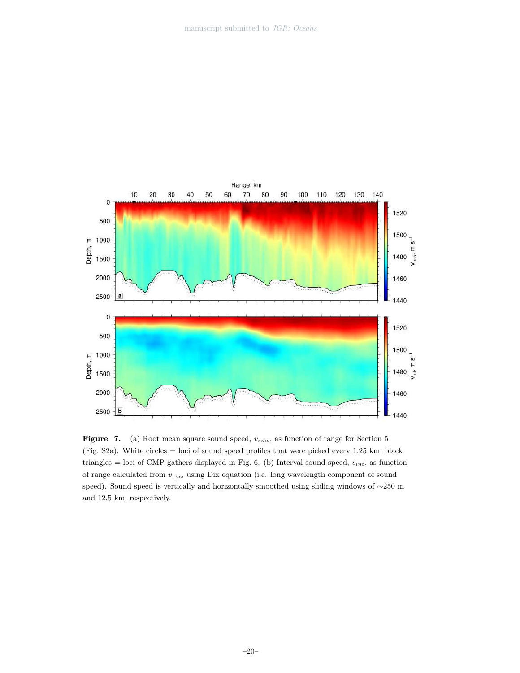

Figure 7. (a) Root mean square sound speed,  $v_{rms}$ , as function of range for Section 5 (Fig. S2a). White circles = loci of sound speed profiles that were picked every 1.25 km; black triangles = loci of CMP gathers displayed in Fig. 6. (b) Interval sound speed,  $v_{int}$ , as function of range calculated from  $v_{rms}$  using Dix equation (i.e. long wavelength component of sound speed). Sound speed is vertically and horizontally smoothed using sliding windows of ∼250 m and 12.5 km, respectively.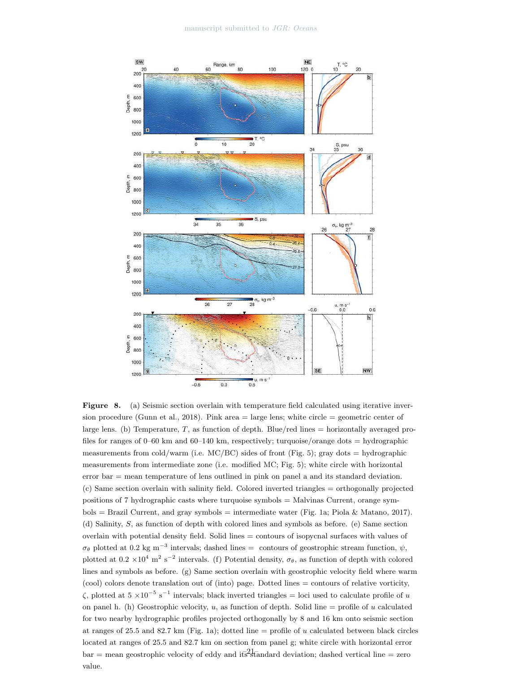

Figure 8. (a) Seismic section overlain with temperature field calculated using iterative inversion procedure (Gunn et al., 2018). Pink area  $=$  large lens; white circle  $=$  geometric center of large lens. (b) Temperature, T, as function of depth. Blue/red lines = horizontally averaged profiles for ranges of 0–60 km and 60–140 km, respectively; turquoise/orange dots = hydrographic measurements from cold/warm (i.e.  $MC/BC$ ) sides of front (Fig. 5); gray dots = hydrographic measurements from intermediate zone (i.e. modified MC; Fig. 5); white circle with horizontal error bar = mean temperature of lens outlined in pink on panel a and its standard deviation. (c) Same section overlain with salinity field. Colored inverted triangles = orthogonally projected positions of 7 hydrographic casts where turquoise symbols = Malvinas Current, orange sym $b$ ols = Brazil Current, and gray symbols = intermediate water (Fig. 1a; Piola & Matano, 2017). (d) Salinity, S, as function of depth with colored lines and symbols as before. (e) Same section overlain with potential density field. Solid lines = contours of isopycnal surfaces with values of  $\sigma_{\theta}$  plotted at 0.2 kg m<sup>-3</sup> intervals; dashed lines = contours of geostrophic stream function,  $\psi$ , plotted at  $0.2 \times 10^4$  m<sup>2</sup> s<sup>-2</sup> intervals. (f) Potential density,  $\sigma_{\theta}$ , as function of depth with colored lines and symbols as before. (g) Same section overlain with geostrophic velocity field where warm (cool) colors denote translation out of (into) page. Dotted lines = contours of relative vorticity,  $\zeta$ , plotted at  $5 \times 10^{-5}$  s<sup>-1</sup> intervals; black inverted triangles = loci used to calculate profile of u on panel h. (h) Geostrophic velocity, u, as function of depth. Solid line  $=$  profile of u calculated for two nearby hydrographic profiles projected orthogonally by 8 and 16 km onto seismic section at ranges of 25.5 and 82.7 km (Fig. 1a); dotted line = profile of u calculated between black circles located at ranges of 25.5 and 82.7 km on section from panel g; white circle with horizontal error  $bar =$  mean geostrophic velocity of eddy and its<sup>2</sup> tandard deviation; dashed vertical line = zero value.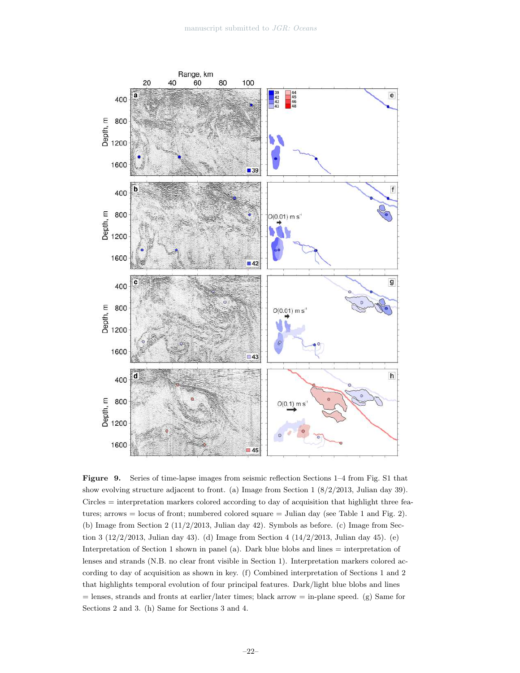

Figure 9. Series of time-lapse images from seismic reflection Sections 1–4 from Fig. S1 that show evolving structure adjacent to front. (a) Image from Section 1 (8/2/2013, Julian day 39). Circles = interpretation markers colored according to day of acquisition that highlight three features; arrows = locus of front; numbered colored square = Julian day (see Table 1 and Fig. 2). (b) Image from Section 2  $(11/2/2013, \text{ Julian day } 42)$ . Symbols as before. (c) Image from Section 3 (12/2/2013, Julian day 43). (d) Image from Section 4 (14/2/2013, Julian day 45). (e) Interpretation of Section 1 shown in panel (a). Dark blue blobs and lines = interpretation of lenses and strands (N.B. no clear front visible in Section 1). Interpretation markers colored according to day of acquisition as shown in key. (f) Combined interpretation of Sections 1 and 2 that highlights temporal evolution of four principal features. Dark/light blue blobs and lines = lenses, strands and fronts at earlier/later times; black arrow = in-plane speed. (g) Same for Sections 2 and 3. (h) Same for Sections 3 and 4.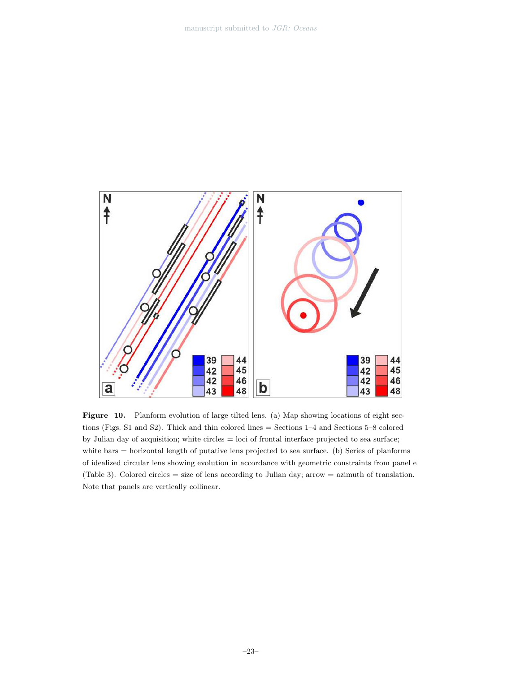

Figure 10. Planform evolution of large tilted lens. (a) Map showing locations of eight sections (Figs. S1 and S2). Thick and thin colored lines = Sections 1–4 and Sections 5–8 colored by Julian day of acquisition; white circles = loci of frontal interface projected to sea surface; white bars = horizontal length of putative lens projected to sea surface. (b) Series of planforms of idealized circular lens showing evolution in accordance with geometric constraints from panel e (Table 3). Colored circles = size of lens according to Julian day; arrow = azimuth of translation. Note that panels are vertically collinear.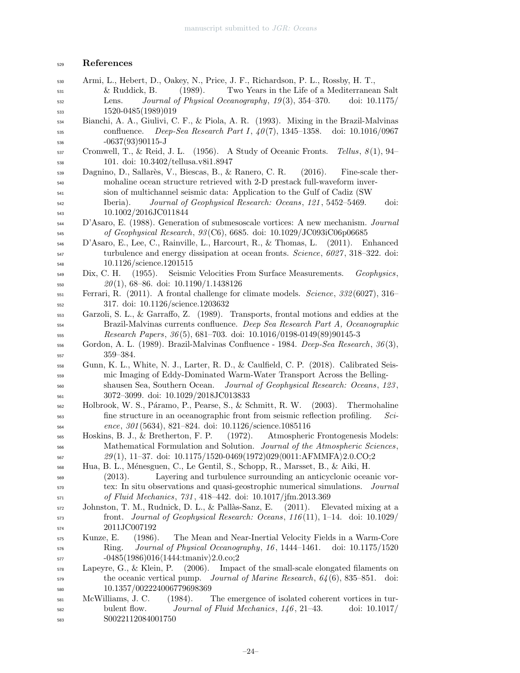# References

- Armi, L., Hebert, D., Oakey, N., Price, J. F., Richardson, P. L., Rossby, H. T.,  $\&$  Ruddick, B. (1989). Two Years in the Life of a Mediterranean Salt  $\mu_{532}$  Lens. *Journal of Physical Oceanography, 19(3), 354–370.* doi: 10.1175/ 1520-0485(1989)019
- Bianchi, A. A., Giulivi, C. F., & Piola, A. R. (1993). Mixing in the Brazil-Malvinas confluence. *Deep-Sea Research Part I*,  $40(7)$ , 1345–1358. doi: 10.1016/0967 -0637(93)90115-J
- Cromwell, T., & Reid, J. L. (1956). A Study of Oceanic Fronts. Tellus,  $8(1)$ , 94– 101. doi: 10.3402/tellusa.v8i1.8947
- Dagnino, D., Sallar`es, V., Biescas, B., & Ranero, C. R. (2016). Fine-scale ther- mohaline ocean structure retrieved with 2-D prestack full-waveform inver- sion of multichannel seismic data: Application to the Gulf of Cadiz (SW <sub>542</sub> Iberia). *Journal of Geophysical Research: Oceans*, 121, 5452–5469. doi: 10.1002/2016JC011844
- D'Asaro, E. (1988). Generation of submesoscale vortices: A new mechanism. Journal of Geophysical Research, 93(C6), 6685. doi: 10.1029/JC093iC06p06685
- D'Asaro, E., Lee, C., Rainville, L., Harcourt, R., & Thomas, L. (2011). Enhanced <sub>547</sub> turbulence and energy dissipation at ocean fronts. *Science*, 6027, 318–322. doi: 10.1126/science.1201515
- $_{549}$  Dix, C. H. (1955). Seismic Velocities From Surface Measurements. Geophysics,  $20(1), 68–86.$  doi:  $10.1190/1.1438126$
- Ferrari, R. (2011). A frontal challenge for climate models. *Science*, 332(6027), 316– 317. doi: 10.1126/science.1203632
- Garzoli, S. L., & Garraffo, Z. (1989). Transports, frontal motions and eddies at the Brazil-Malvinas currents confluence. Deep Sea Research Part A, Oceanographic  $\text{Research Papers}, 36(5), 681-703. \text{ doi: } 10.1016/0198-0149(89)90145-3$
- Gordon, A. L. (1989). Brazil-Malvinas Confluence 1984. Deep-Sea Research,  $36(3)$ , 359–384.
- Gunn, K. L., White, N. J., Larter, R. D., & Caulfield, C. P. (2018). Calibrated Seis- mic Imaging of Eddy-Dominated Warm-Water Transport Across the Belling- shausen Sea, Southern Ocean. Journal of Geophysical Research: Oceans, 123 , 3072–3099. doi: 10.1029/2018JC013833
- Holbrook, W. S., P´aramo, P., Pearse, S., & Schmitt, R. W. (2003). Thermohaline fine structure in an oceanographic front from seismic reflection profiling. Sci-ence, 301 (5634), 821–824. doi: 10.1126/science.1085116
- Hoskins, B. J., & Bretherton, F. P. (1972). Atmospheric Frontogenesis Models: <sup>566</sup> Mathematical Formulation and Solution. *Journal of the Atmospheric Sciences*,  $29(1), 11-37.$  doi:  $10.1175/1520-0469(1972)029(0011:AFMMFA)2.0.CO;2$
- Hua, B. L., M´enesguen, C., Le Gentil, S., Schopp, R., Marsset, B., & Aiki, H.
- (2013). Layering and turbulence surrounding an anticyclonic oceanic vor-<sub>570</sub> tex: In situ observations and quasi-geostrophic numerical simulations. *Journal* of Fluid Mechanics, 731 , 418–442. doi: 10.1017/jfm.2013.369
- $_{572}$  Johnston, T. M., Rudnick, D. L., & Pallàs-Sanz, E. (2011). Elevated mixing at a front. *Journal of Geophysical Research: Oceans*,  $116(11)$ ,  $1-14$ . doi:  $10.1029/$ 2011JC007192
- Kunze, E. (1986). The Mean and Near-Inertial Velocity Fields in a Warm-Core Ring. Journal of Physical Oceanography, 16 , 1444–1461. doi: 10.1175/1520  $-0485(1986)016\langle1444:\text{tmaniv}\rangle2.0.\text{co};2$
- Lapeyre, G., & Klein, P. (2006). Impact of the small-scale elongated filaments on the oceanic vertical pump. *Journal of Marine Research*,  $64(6)$ , 835–851. doi: 10.1357/002224006779698369
- McWilliams, J. C. (1984). The emergence of isolated coherent vortices in tur- bulent flow. *Journal of Fluid Mechanics*,  $146$ ,  $21-43$ . doi:  $10.1017/$ S0022112084001750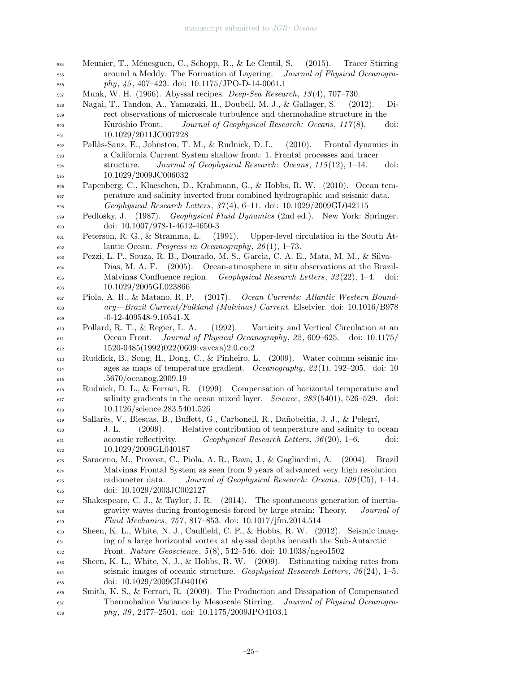Meunier, T., M´enesguen, C., Schopp, R., & Le Gentil, S. (2015). Tracer Stirring <sup>585</sup> around a Meddy: The Formation of Layering. *Journal of Physical Oceanogra*phy, 45, 407-423. doi: 10.1175/JPO-D-14-0061.1 Munk, W. H. (1966). Abyssal recipes. *Deep-Sea Research*, 13(4), 707–730. Nagai, T., Tandon, A., Yamazaki, H., Doubell, M. J., & Gallager, S. (2012). Di- rect observations of microscale turbulence and thermohaline structure in the Kuroshio Front. Journal of Geophysical Research: Oceans, 117 (8). doi: 10.1029/2011JC007228 Pall`as-Sanz, E., Johnston, T. M., & Rudnick, D. L. (2010). Frontal dynamics in a California Current System shallow front: 1. Frontal processes and tracer structure. Journal of Geophysical Research: Oceans,  $115(12)$ , 1–14. doi: 10.1029/2009JC006032 Papenberg, C., Klaeschen, D., Krahmann, G., & Hobbs, R. W. (2010). Ocean tem- perature and salinity inverted from combined hydrographic and seismic data. Geophysical Research Letters, 37 (4), 6–11. doi: 10.1029/2009GL042115 599 Pedlosky, J. (1987). Geophysical Fluid Dynamics (2nd ed.). New York: Springer. doi: 10.1007/978-1-4612-4650-3 Peterson, R. G., & Stramma, L. (1991). Upper-level circulation in the South At- $\frac{1}{602}$  lantic Ocean. *Progress in Oceanography*, 26(1), 1–73. Pezzi, L. P., Souza, R. B., Dourado, M. S., Garcia, C. A. E., Mata, M. M., & Silva- Dias, M. A. F. (2005). Ocean-atmosphere in situ observations at the Brazil- Malvinas Confluence region. Geophysical Research Letters, 32 (22), 1–4. doi: 10.1029/2005GL023866 Piola, A. R., & Matano, R. P. (2017). Ocean Currents: Atlantic Western Bound- ary—Brazil Current/Falkland (Malvinas) Current. Elselvier. doi: 10.1016/B978 -0-12-409548-9.10541-X Pollard, R. T., & Regier, L. A. (1992). Vorticity and Vertical Circulation at an Ocean Front. *Journal of Physical Oceanography*, 22, 609–625. doi: 10.1175/  $_{612}$  1520-0485(1992)022(0609:vavcaa)2.0.co;2 Ruddick, B., Song, H., Dong, C., & Pinheiro, L. (2009). Water column seismic im- $\alpha$ <sub>614</sub> ages as maps of temperature gradient. *Oceanography*,  $22(1)$ , 192–205. doi: 10 .5670/oceanog.2009.19 Rudnick, D. L., & Ferrari, R. (1999). Compensation of horizontal temperature and  $\sigma_{617}$  salinity gradients in the ocean mixed layer. *Science*, 283(5401), 526–529. doi: 10.1126/science.283.5401.526 Sallar`es, V., Biescas, B., Buffett, G., Carbonell, R., Da˜nobeitia, J. J., & Pelegr´ı, J. L. (2009). Relative contribution of temperature and salinity to ocean  $\alpha_{621}$  acoustic reflectivity. Geophysical Research Letters, 36(20), 1–6. doi: 10.1029/2009GL040187 Saraceno, M., Provost, C., Piola, A. R., Bava, J., & Gagliardini, A. (2004). Brazil Malvinas Frontal System as seen from 9 years of advanced very high resolution  $\epsilon_{625}$  radiometer data. Journal of Geophysical Research: Oceans, 109(C5), 1–14. doi: 10.1029/2003JC002127 Shakespeare, C. J., & Taylor, J. R. (2014). The spontaneous generation of inertia- gravity waves during frontogenesis forced by large strain: Theory. Journal of Fluid Mechanics, 757 , 817–853. doi: 10.1017/jfm.2014.514 Sheen, K. L., White, N. J., Caulfield, C. P., & Hobbs, R. W. (2012). Seismic imag- ing of a large horizontal vortex at abyssal depths beneath the Sub-Antarctic Front. Nature Geoscience, 5 (8), 542–546. doi: 10.1038/ngeo1502 Sheen, K. L., White, N. J., & Hobbs, R. W. (2009). Estimating mixing rates from seismic images of oceanic structure. Geophysical Research Letters,  $36(24)$ , 1–5. doi: 10.1029/2009GL040106 Smith, K. S., & Ferrari, R. (2009). The Production and Dissipation of Compensated <sup>637</sup> Thermohaline Variance by Mesoscale Stirring. *Journal of Physical Oceanogra-phy, 39, 2477–2501.* doi: 10.1175/2009JPO4103.1